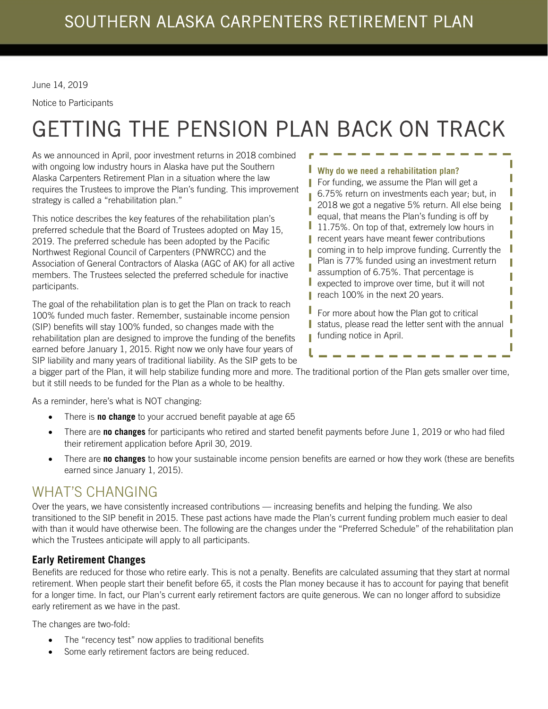June 14, 2019

Notice to Participants

# GETTING THE PENSION PLAN BACK ON TRACK

As we announced in April, poor investment returns in 2018 combined with ongoing low industry hours in Alaska have put the Southern Alaska Carpenters Retirement Plan in a situation where the law requires the Trustees to improve the Plan's funding. This improvement strategy is called a "rehabilitation plan."

This notice describes the key features of the rehabilitation plan's preferred schedule that the Board of Trustees adopted on May 15, 2019. The preferred schedule has been adopted by the Pacific Northwest Regional Council of Carpenters (PNWRCC) and the Association of General Contractors of Alaska (AGC of AK) for all active members. The Trustees selected the preferred schedule for inactive participants.

The goal of the rehabilitation plan is to get the Plan on track to reach 100% funded much faster. Remember, sustainable income pension (SIP) benefits will stay 100% funded, so changes made with the rehabilitation plan are designed to improve the funding of the benefits earned before January 1, 2015. Right now we only have four years of SIP liability and many years of traditional liability. As the SIP gets to be

### **Why do we need a rehabilitation plan?**

For funding, we assume the Plan will get a 6.75% return on investments each year; but, in 2018 we got a negative 5% return. All else being equal, that means the Plan's funding is off by 11.75%. On top of that, extremely low hours in recent years have meant fewer contributions coming in to help improve funding. Currently the Plan is 77% funded using an investment return assumption of 6.75%. That percentage is expected to improve over time, but it will not reach 100% in the next 20 years.

I Π I П П П П П I

I I I Г I

For more about how the Plan got to critical status, please read the letter sent with the annual funding notice in April.

a bigger part of the Plan, it will help stabilize funding more and more. The traditional portion of the Plan gets smaller over time, but it still needs to be funded for the Plan as a whole to be healthy.

I

As a reminder, here's what is NOT changing:

- There is **no change** to your accrued benefit payable at age 65
- There are **no changes** for participants who retired and started benefit payments before June 1, 2019 or who had filed their retirement application before April 30, 2019.
- There are **no changes** to how your sustainable income pension benefits are earned or how they work (these are benefits earned since January 1, 2015).

# WHAT'S CHANGING

Over the years, we have consistently increased contributions — increasing benefits and helping the funding. We also transitioned to the SIP benefit in 2015. These past actions have made the Plan's current funding problem much easier to deal with than it would have otherwise been. The following are the changes under the "Preferred Schedule" of the rehabilitation plan which the Trustees anticipate will apply to all participants.

### **Early Retirement Changes**

Benefits are reduced for those who retire early. This is not a penalty. Benefits are calculated assuming that they start at normal retirement. When people start their benefit before 65, it costs the Plan money because it has to account for paying that benefit for a longer time. In fact, our Plan's current early retirement factors are quite generous. We can no longer afford to subsidize early retirement as we have in the past.

The changes are two-fold:

- The "recency test" now applies to traditional benefits
- Some early retirement factors are being reduced.